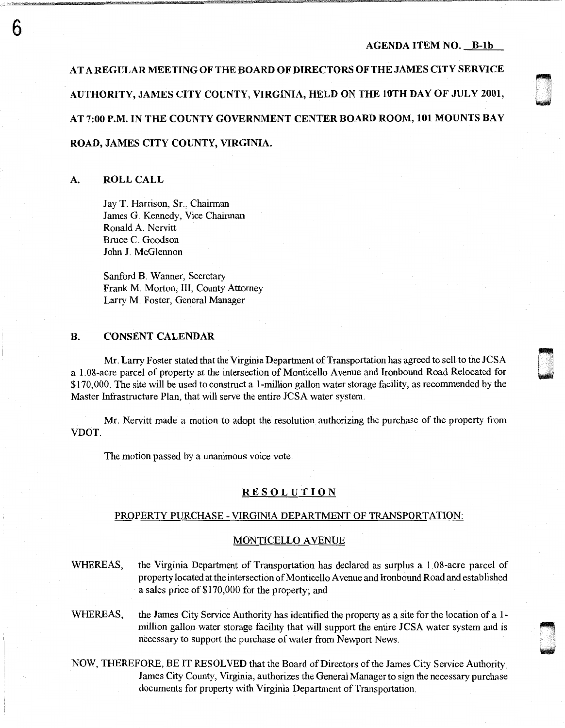0 1;.: ' .....•..

n l .I

~

AT A REGULAR MEETING OF THE BOARD OF DIRECTORS OF THE JAMES CITY SERVICE AUTHORITY, JAMES CITY COUNTY, VIRGINIA, HELD ON THE lOTH DAY OF JULY 2001, AT 7:00 P.M. IN THE COUNTY GOVERNMENT CENTER BOARD ROOM, 101 MOUNTS BAY ROAD, JAMES CITY COUNTY, VIRGINIA.

#### A. ROLL CALL

6

Jay T. Harrison, Sr., Chairman James G. Kennedy, Vice Chairman Ronald A. Nervitt Bruce C. Goodson John J. McGlennon

Sanford B. Wanner, Secretary Frank M. Morton, III, County Attorney Larry M. Foster, General Manager

### B. CONSENT CALENDAR

Mr. Larry Foster stated that the Virginia Department of Transportation has agreed to sell to the JCSA a 1. 08-acre parcel of property at the intersection of Monticello Avenue and Ironbound Road Relocated for \$170,000. The site will be used to construct a I-million gallon water storage facility, as recommended by the Master Infrastructure Plan, that will serve the entire JCSA water system.

Mr. Nervitt made a motion to adopt the resolution authorizing the purchase of the property from VDOT.

The motion passed by a unanimous voice vote.

#### **RESOLUTION**

#### PROPERTY PURCHASE - VIRGINIA DEPARTMENT OF TRANSPORTATION:

#### **MONTICELLO AVENUE**

- WHEREAS, the Virginia Department of Transportation has declared as surplus a 1.08-acre parcel of property located at the intersection of Monticello Avenue and Iron bound Road and established a sales price of \$170,000 for the property; and
- WHEREAS, the James City Service Authority has identified the property as a site for the location of a 1million gallon water storage facility that will support the entire JCSA water system and is necessary to support the purchase of water from Newport News.
- NOW, THEREFORE, BE IT RESOLVED that the Board of Directors of the James City Service Authority, James City County, Virginia, authorizes the General Manager to sign the necessary purchase documents for property with Virginia Department of Transportation.